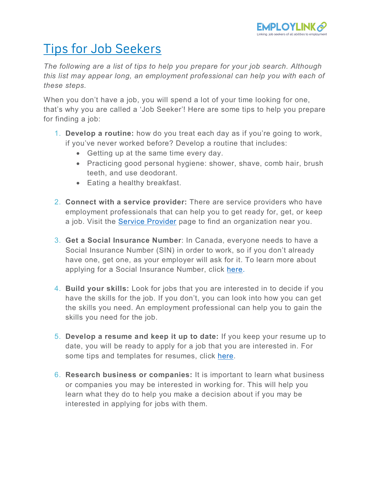

## Tips for Job Seekers

*The following are a list of tips to help you prepare for your job search. Although this list may appear long, an employment professional can help you with each of these steps.* 

When you don't have a job, you will spend a lot of your time looking for one, that's why you are called a 'Job Seeker'! Here are some tips to help you prepare for finding a job:

- 1. **Develop a routine:** how do you treat each day as if you're going to work, if you've never worked before? Develop a routine that includes:
	- Getting up at the same time every day.
	- Practicing good personal hygiene: shower, shave, comb hair, brush teeth, and use deodorant.
	- Eating a healthy breakfast.
- 2. **Connect with a service provider:** There are service providers who have employment professionals that can help you to get ready for, get, or keep a job. Visit the **Service Provider** page to find an organization near you.
- 3. **Get a Social Insurance Number**: In Canada, everyone needs to have a Social Insurance Number (SIN) in order to work, so if you don't already have one, get one, as your employer will ask for it. To learn more about applying for a Social Insurance Number, click [here.](https://www.canada.ca/en/employment-social-development/services/sin/apply.html)
- 4. **Build your skills:** Look for jobs that you are interested in to decide if you have the skills for the job. If you don't, you can look into how you can get the skills you need. An employment professional can help you to gain the skills you need for the job.
- 5. **Develop a resume and keep it up to date:** If you keep your resume up to date, you will be ready to apply for a job that you are interested in. For some tips and templates for resumes, click [here.](https://www.resume-now.com/)
- 6. **Research business or companies:** It is important to learn what business or companies you may be interested in working for. This will help you learn what they do to help you make a decision about if you may be interested in applying for jobs with them.